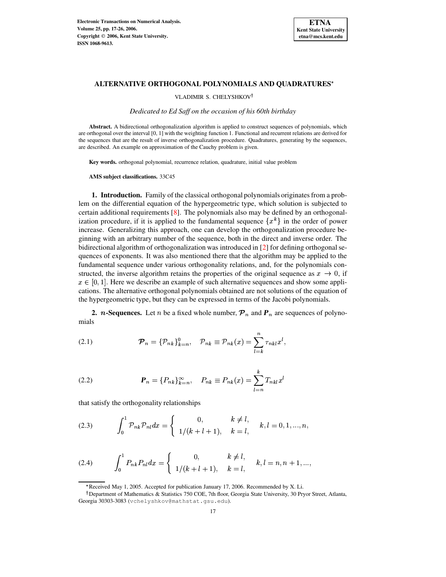

# **ALTERNATIVE ORTHOGONAL POLYNOMIALS AND QUADRATURES**

VLADIMIR S. CHELYSHKOV

*Dedicated to Ed Saff on the occasion of his 60th birthday*

**Abstract.** A bidirectional orthogonalization algorithm is applied to construct sequences of polynomials, which are orthogonal over the interval [0, 1] with the weighting function 1. Functional and recurrent relations are derived for the sequences that are the result of inverse orthogonalization procedure. Quadratures, generating by the sequences, are described. An example on approximation of the Cauchy problem is given.

**Key words.** orthogonal polynomial, recurrence relation, quadrature, initial value problem

**AMS subject classifications.** 33C45

**1. Introduction.** Family of the classical orthogonal polynomials originates from a problem on the differential equation of the hypergeometric type, which solution is subjected to certain additional requirements [\[8\]](#page-9-0). The polynomials also may be defined by an orthogonalization procedure, if it is applied to the fundamental sequence  $\{x^k\}$  in the order of power increase. Generalizing this approach, one can develop the orthogonalization procedure beginning with an arbitrary number of the sequence, both in the direct and inverse order. The bidirectional algorithm of orthogonalization was introduced in [\[2\]](#page-9-1) for defining orthogonal sequences of exponents. It was also mentioned there that the algorithm may be applied to the fundamental sequence under various orthogonality relations, and, for the polynomials constructed, the inverse algorithm retains the properties of the original sequence as  $x \to 0$ , if  $x \in [0,1]$ . Here we describe an example of such alternative sequences and show some applications. The alternative orthogonal polynomials obtained are not solutions of the equation of the hypergeometric type, but they can be expressed in terms of the Jacobi polynomials.

**2.** *n***-Sequences.** Let *n* be a fixed whole number,  $P_n$  and  $P_n$  are sequences of polynomials

 $\mathbf{r}$ 

<span id="page-0-1"></span>(2.1) 
$$
\mathcal{P}_n = \{\mathcal{P}_{nk}\}_{k=n}^0, \quad \mathcal{P}_{nk} \equiv \mathcal{P}_{nk}(x) = \sum_{l=k}^n \tau_{nkl} x^l,
$$

<span id="page-0-2"></span>(2.2) 
$$
\mathbf{P}_n = \{P_{nk}\}_{k=n}^{\infty}, \quad P_{nk} \equiv P_{nk}(x) = \sum_{l=n}^{k} T_{nkl} x^l
$$

that satisfy the orthogonality relationships

<span id="page-0-0"></span>(2.3) 
$$
\int_0^1 \mathcal{P}_{nk} \mathcal{P}_{nl} dx = \begin{cases} 0, & k \neq l, \\ 1/(k+l+1), & k = l, \end{cases} k, l = 0, 1, ..., n,
$$

<span id="page-0-3"></span>(2.4) 
$$
\int_0^1 P_{nk} P_{nl} dx = \begin{cases} 0, & k \neq l, \\ 1/(k+l+1), & k = l, \end{cases} k, l = n, n+1, ...,
$$

<sup>\*</sup> Received May 1, 2005. Accepted for publication January 17, 2006. Recommended by X. Li.

<sup>&</sup>lt;sup>†</sup> Department of Mathematics & Statistics 750 COE, 7th floor, Georgia State University, 30 Pryor Street, Atlanta, Georgia 30303-3083 (vchelyshkov@mathstat.gsu.edu).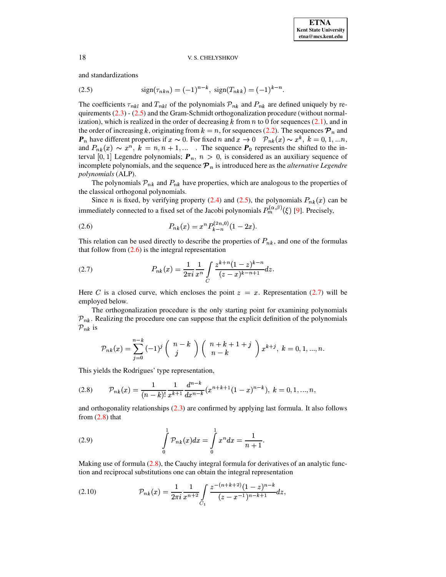# 18 V.S. CHELYSHKOV

and standardizations

<span id="page-1-0"></span>(2.5) 
$$
\text{sign}(\tau_{nkn}) = (-1)^{n-k}, \text{ sign}(T_{nkk}) = (-1)^{k-n}.
$$

The coefficients  $\tau_{nkl}$  and  $T_{nkl}$  of the polynomials  $\mathcal{P}_{nk}$  and  $P_{nk}$  are defined uniquely by requirements  $(2.3)$  -  $(2.5)$  and the Gram-Schmidt orthogonalization procedure (without normalization), which is realized in the order of decreasing  $k$  from  $n$  to 0 for sequences [\(2.1\)](#page-0-1), and in the order of increasing k, originating from  $k = n$ , for sequences [\(2.2\)](#page-0-2). The sequences  $\mathcal{P}_n$  and  $\mathbf{P}_n$  have different properties if  $x \sim 0$ . For fixed n and  $x \to 0$   $\mathcal{P}_{nk}(x) \sim x^k$ ,  $k = 0, 1, ...n$ , and  $P_{nk}(x) \sim x^n$ ,  $k = n, n + 1, ...$  The sequence  $P_0$  represents the shifted to the interval [0, 1] Legendre polynomials;  $P_n$ ,  $n > 0$ , is considered as an auxiliary sequence of incomplete polynomials, and the sequence  $\mathcal{P}_n$  is introduced here as the *alternative Legendre polynomials* (ALP).

The polynomials  $\mathcal{P}_{nk}$  and  $P_{nk}$  have properties, which are analogous to the properties of the classical orthogonal polynomials.

Since *n* is fixed, by verifying property [\(2.4\)](#page-0-3) and [\(2.5\)](#page-1-0), the polynomials  $P_{nk}(x)$  can be immediately connected to a fixed set of the Jacobi polynomials  $P_m^{(\alpha,\beta)}(\xi)$  [\[9\]](#page-9-2). Precisely,

<span id="page-1-1"></span>(2.6) 
$$
P_{nk}(x) = x^n P_{k-n}^{(2n,0)}(1-2x).
$$

This relation can be used directly to describe the properties of  $P_{nk}$ , and one of the formulas that follow from  $(2.6)$  is the integral representation

<span id="page-1-2"></span>(2.7) 
$$
P_{nk}(x) = \frac{1}{2\pi i} \frac{1}{x^n} \int_C \frac{z^{k+n} (1-z)^{k-n}}{(z-x)^{k-n+1}} dz.
$$

Here C is a closed curve, which encloses the point  $z = x$ . Representation [\(2.7\)](#page-1-2) will be <sup>m</sup> employed below.

The orthogonalization procedure is the only starting point for examining polynomials  $\mathcal{P}_{nk}$ . Realizing the procedure one can suppose that the explicit definition of the polynomials  $\mathcal{P}_{nk}$  is

$$
\mathcal{P}_{nk}(x) = \sum_{j=0}^{n-k} (-1)^j \binom{n-k}{j} \binom{n+k+1+j}{n-k} x^{k+j}, \ k = 0, 1, ..., n.
$$

This yields the Rodrigues' type representation, <sup>9</sup>

<span id="page-1-3"></span>
$$
(2.8) \qquad \mathcal{P}_{nk}(x) = \frac{1}{(n-k)!} \frac{1}{x^{k+1}} \frac{d^{n-k}}{dx^{n-k}} (x^{n+k+1} (1-x)^{n-k}), \ k = 0, 1, ..., n,
$$

and orthogonality relationships [\(2.3\)](#page-0-0) are confirmed by applying last formula. It also follows from  $(2.8)$  that

<span id="page-1-5"></span>(2.9) 
$$
\int_{0}^{1} \mathcal{P}_{nk}(x) dx = \int_{0}^{1} x^{n} dx = \frac{1}{n+1}.
$$

Making use of formula  $(2.8)$ , the Cauchy integral formula for derivatives of an analytic function and reciprocal substitutions one can obtain the integral representation

<span id="page-1-4"></span>(2.10) 
$$
\mathcal{P}_{nk}(x) = \frac{1}{2\pi i} \frac{1}{x^{n+2}} \int_{C_1} \frac{z^{-(n+k+2)}(1-z)^{n-k}}{(z-x^{-1})^{n-k+1}} dz,
$$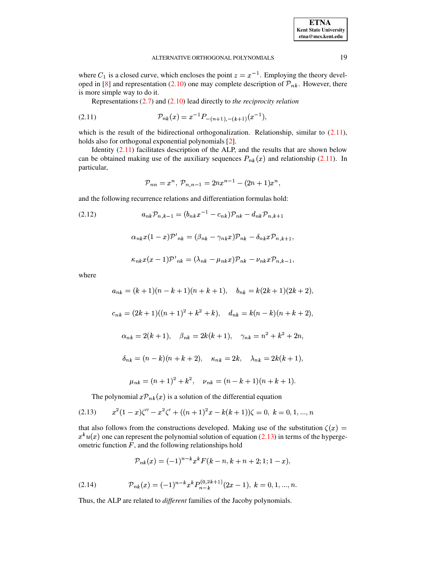where  $C_1$  is a closed curve, which encloses the point  $z = x^{-1}$ . Employing the theory developed in [8] and representation (2.10) one may complete description of  $\mathcal{P}_{nk}$ . However, there is more simple way to do it.

<span id="page-2-0"></span>Representations  $(2.7)$  and  $(2.10)$  lead directly to the reciprocity relation

$$
(2.11) \t\t\t\t\t\t\t\t\t\mathcal{P}_{nk}(x) = x^{-1} P_{-(n+1),-(k+1)}(x^{-1}),
$$

which is the result of the bidirectional orthogonalization. Relationship, similar to  $(2.11)$ , holds also for orthogonal exponential polynomials [2].

Identity  $(2.11)$  facilitates description of the ALP, and the results that are shown below can be obtained making use of the auxiliary sequences  $P_{nk}(x)$  and relationship (2.11). In particular,

$$
{\cal P}_{nn}=x^n, \; {\cal P}_{n,n-1}=2nx^{n-1}-(2n+1)x^n,
$$

and the following recurrence relations and differentiation formulas hold:

<span id="page-2-2"></span>
$$
(2.12) \t\t a_{nk} \mathcal{P}_{n,k-1} = (b_{nk} x^{-1} - c_{nk}) \mathcal{P}_{nk} - d_{nk} \mathcal{P}_{n,k+1}
$$

$$
\alpha_{nk}x(1-x)\mathcal{P}'_{nk}=(\beta_{nk}-\gamma_{nk}x)\mathcal{P}_{nk}-\delta_{nk}x\mathcal{P}_{n,k+1}
$$

$$
\kappa_{nk} x(x-1) \mathcal{P'}_{nk} = (\lambda_{nk} - \mu_{nk} x) \mathcal{P}_{nk} - \nu_{nk} x \mathcal{P}_{n,k-1},
$$

where

$$
a_{nk} = (k+1)(n-k+1)(n+k+1), \quad b_{nk} = k(2k+1)(2k+2),
$$
  
\n
$$
c_{nk} = (2k+1)((n+1)^2 + k^2 + k), \quad d_{nk} = k(n-k)(n+k+2),
$$
  
\n
$$
\alpha_{nk} = 2(k+1), \quad \beta_{nk} = 2k(k+1), \quad \gamma_{nk} = n^2 + k^2 + 2n,
$$
  
\n
$$
\delta_{nk} = (n-k)(n+k+2), \quad \kappa_{nk} = 2k, \quad \lambda_{nk} = 2k(k+1),
$$
  
\n
$$
\mu_{nk} = (n+1)^2 + k^2, \quad \nu_{nk} = (n-k+1)(n+k+1).
$$

The polynomial  $x\mathcal{P}_{nk}(x)$  is a solution of the differential equation

<span id="page-2-1"></span>
$$
(2.13) \t x2(1-x)\zeta'' - x2\zeta' + ((n+1)2x - k(k+1))\zeta = 0, k = 0, 1, ..., n
$$

that also follows from the constructions developed. Making use of the substitution  $\zeta(x)$  =  $x^k u(x)$  one can represent the polynomial solution of equation (2.13) in terms of the hypergeometric function  $F$ , and the following relationships hold

$$
\mathcal{P}_{nk}(x) = (-1)^{n-k} x^k F(k-n, k+n+2; 1; 1-x),
$$

<span id="page-2-3"></span>
$$
(2.14) \t\t\t\t\mathcal{P}_{nk}(x) = (-1)^{n-k} x^k P_{n-k}^{(0,2k+1)}(2x-1), \quad k = 0, 1, ..., n.
$$

Thus, the ALP are related to *different* families of the Jacoby polynomials.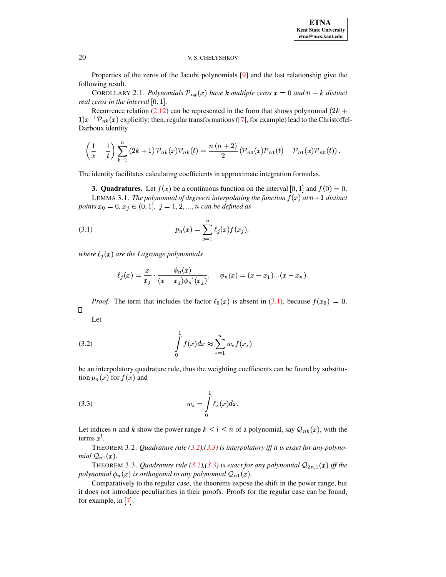### 20 V. S. CHELYSHKOV

Properties of the zeros of the Jacobi polynomials [\[9\]](#page-9-2) and the last relationship give the following result.

COROLLARY 2.1. *Polynomials*  $\mathcal{P}_{nk}(x)$  have *k* multiple zeros  $x = 0$  and  $n - k$  distinct *real zeros in the interval*  $[0, 1]$ *.* 

Recurrence relation [\(2.12\)](#page-2-2) can be represented in the form that shows polynomial (2k +  $(1) x^{-1} \mathcal{P}_{nk}(x)$  explicitly; then, regular transformations ([\[7\]](#page-9-3), for example) lead to the Christoffel-Darboux identity

$$
\left(\frac{1}{x} - \frac{1}{t}\right) \sum_{k=1}^{n} (2k+1) \, \mathcal{P}_{nk}(x) \mathcal{P}_{nk}(t) = \frac{n(n+2)}{2} \left(\mathcal{P}_{n0}(x) \mathcal{P}_{n1}(t) - \mathcal{P}_{n1}(x) \mathcal{P}_{n0}(t)\right).
$$

The identity facilitates calculating coefficients in approximate integration formulas.

**3. Quadratures.** Let  $f(x)$  be a continuous function on the interval  $[0,1]$  and  $f(0) = 0$ .

LEMMA 3.1. *The polynomial of degree*  $n$  *interpolating the function*  $f(x)$  *at*  $n+1$  *distinct points*  $x_0 = 0, x_j \in (0, 1], j = 1, 2, ..., n$  *can be defined as* 

(3.1) 
$$
p_n(x) = \sum_{j=1}^n \ell_j(x) f(x_j),
$$

*where*  $\ell_j(x)$  are the Lagrange polynomials

<span id="page-3-0"></span>
$$
\ell_j(x) = \frac{x}{x_j} \cdot \frac{\phi_n(x)}{(x - x_j)\phi_n'(x_j)}, \quad \phi_n(x) = (x - x_1)...(x - x_n).
$$

*Proof.* The term that includes the factor  $\ell_0(x)$  is absent in [\(3.1\)](#page-3-0), because  $f(x_0) = 0$ .  $\Box$ 

<span id="page-3-1"></span>Let

$$
\int_{0}^{1} f(x)dx \approx \sum_{s=1}^{n} w_{s} f(x_{s})
$$

be an interpolatory quadrature rule, thus the weighting coefficients can be found by substitution  $p_n(x)$  for  $f(x)$  and

<span id="page-3-2"></span>
$$
(3.3) \t\t w_s = \int\limits_0^1 \ell_s(x) dx.
$$

Let indices *n* and *k* show the power range  $k \leq l \leq n$  of a polynomial, say  $\mathcal{Q}_{nk}(x)$ , with the terms  $x^i$ .

THEOREM 3.2. *Quadrature rule [\(3.2\)](#page-3-1),[\(3.3\)](#page-3-2) is interpolatory iff it is exact for any polynomial*  $\mathcal{Q}_{n1}(x)$ *.* 

THEOREM 3.3. *Quadrature rule* [\(3.2\)](#page-3-1),[\(3.3\)](#page-3-2) is exact for any polynomial  $Q_{2n,1}(x)$  iff the polynomial  $\phi_n(x)$  is orthogonal to any polynomial  $\mathcal{Q}_{n1}(x)$ .

 Comparatively to the regular case, the theorems expose the shift in the power range, but it does not introduce peculiarities in their proofs. Proofs for the regular case can be found, for example, in  $[7]$  $[7]$  $[7]$ .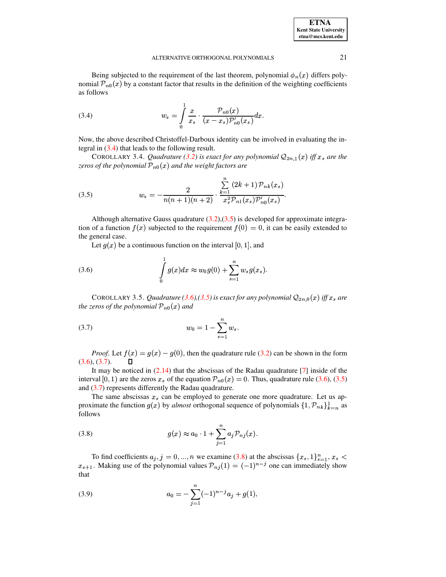| <b>ETNA</b>                  |
|------------------------------|
| <b>Kent State University</b> |
| etna@mcs.kent.edu            |

### ALTERNATIVE ORTHOGONAL POLYNOMIALS 21

Being subjected to the requirement of the last theorem, polynomial  $\phi_n(x)$  differs polynomial  $\mathcal{P}_{n0}(x)$  by a constant factor that results in the definition of the weighting coefficients as follows

<span id="page-4-0"></span>(3.4) 
$$
w_s = \int_0^1 \frac{x}{x_s} \cdot \frac{\mathcal{P}_{n0}(x)}{(x - x_s)\mathcal{P}'_{n0}(x_s)} dx.
$$

Now, the above described Christoffel-Darboux identity can be involved in evaluating the integral in [\(3.4\)](#page-4-0) that leads to the following result.

COROLLARY 3.4. *Quadrature* [\(3.2\)](#page-3-1) is exact for any polynomial  $Q_{2n,1}(x)$  iff  $x_s$  are the zeros of the polynomial  ${\cal P}_{n0}(x)$  and the weight factors are

<span id="page-4-1"></span>(3.5) 
$$
w_s = -\frac{2}{n(n+1)(n+2)} \cdot \frac{\sum_{k=1}^n (2k+1) \mathcal{P}_{nk}(x_s)}{x_s^2 \mathcal{P}_{n1}(x_s) \mathcal{P}'_{n0}(x_s)}.
$$

Although alternative Gauss quadrature  $(3.2),(3.5)$  $(3.2),(3.5)$  $(3.2),(3.5)$  is developed for approximate integration of a function  $f(x)$  subjected to the requirement  $f(0) = 0$ , it can be easily extended to the general case.

<span id="page-4-2"></span>Let  $g(x)$  be a continuous function on the interval [0, 1], and

(3.6) 
$$
\int_{0}^{1} g(x)dx \approx w_0 g(0) + \sum_{s=1}^{n} w_s g(x_s).
$$

COROLLARY 3.5. *Quadrature* [\(3.6\)](#page-4-2),[\(3.5\)](#page-4-1) is exact for any polynomial  $Q_{2n,0}(x)$  iff  $x_s$  are the zeros of the polynomial  ${\cal P}_{n0}(x)$  and

<span id="page-4-3"></span>(3.7) 
$$
w_0 = 1 - \sum_{s=1}^{n} w_s.
$$

*Proof.* Let  $f(x) = g(x) - g(0)$ , then the quadrature rule [\(3.2\)](#page-3-1) can be shown in the form  $(3.6), (3.7).$  $(3.6), (3.7).$  $(3.6), (3.7).$  $(3.6), (3.7).$ 

It may be noticed in  $(2.14)$  that the abscissas of the Radau quadrature  $[7]$  inside of the interval [0, 1) are the zeros  $x_s$  of the equation  $\mathcal{P}_{n0}(x) = 0$ . Thus, quadrature rule [\(3.6\)](#page-4-2), [\(3.5\)](#page-4-1) and [\(3.7\)](#page-4-3) represents differently the Radau quadrature.

The same abscissas  $x_s$  can be employed to generate one more quadrature. Let us approximate the function  $g(x)$  by *almost* orthogonal sequence of polynomials  $\{1, \mathcal{P}_{nk}\}_{k=n}^1$  as follows

<span id="page-4-4"></span>(3.8) 
$$
g(x) \approx a_0 \cdot 1 + \sum_{j=1}^n a_j \mathcal{P}_{nj}(x).
$$

To find coefficients  $a_j$ ,  $j = 0, ..., n$  we examine [\(3.8\)](#page-4-4) at the abscissas To find coefficients  $a_j$ ,  $j = 0, ..., n$  we examine (3.8) at the abscissas  $\{x_s, 1\}_{s=1}^n$ ,  $x_s <$ <br>Making use of the polynomial values  $\mathcal{P}_{\alpha}(1) = (-1)^{n-1}$  one can immediately show  $x_{s+1}$ . Making use of the polynomial values  $\mathcal{P}_{nj}(1) = (-1)^{n-j}$  one can immediately show that

<span id="page-4-5"></span>(3.9) 
$$
a_0 = -\sum_{j=1}^n (-1)^{n-j} a_j + g(1),
$$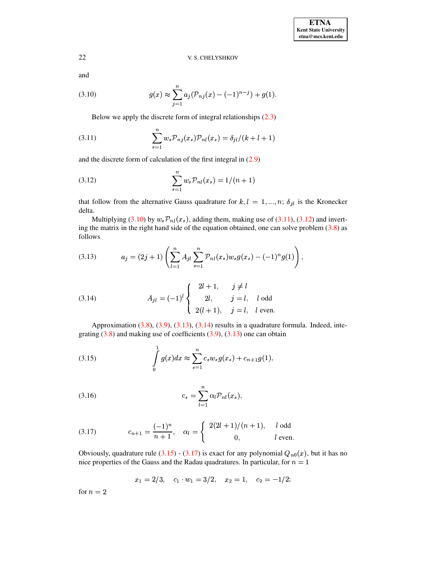# 22 V. S. CHELYSHKOV

and

<span id="page-5-0"></span>(3.10) 
$$
g(x) \approx \sum_{j=1}^{n} a_j (\mathcal{P}_{nj}(x) - (-1)^{n-j}) + g(1).
$$

<span id="page-5-1"></span>Below we apply the discrete form of integral relationships [\(2.3\)](#page-0-0)

(3.11) 
$$
\sum_{s=1}^{n} w_s \mathcal{P}_{nj}(x_s) \mathcal{P}_{nl}(x_s) = \delta_{jl}/(k+l+1)
$$

and the discrete form of calculation of the first integral in [\(2.9\)](#page-1-5)

<span id="page-5-2"></span>(3.12) 
$$
\sum_{s=1}^{n} w_s \mathcal{P}_{nl}(x_s) = 1/(n+1)
$$

that follow from the alternative Gauss quadrature for  $k, l = 1, ..., n; \delta_{jl}$  is the Kronecker delta. 

Multiplying [\(3.10\)](#page-5-0) by ing the matrix in the right hand side of the equation obtained, one can solve problem  $(3.8)$  as  $_{nl}(x_s)$ , adding them, making use of [\(3.11\)](#page-5-1), [\(3.12\)](#page-5-2) and invertfollows

<span id="page-5-3"></span>(3.13) 
$$
a_j = (2j+1) \left( \sum_{l=1}^n A_{jl} \sum_{s=1}^n \mathcal{P}_{nl}(x_s) w_s g(x_s) - (-1)^n g(1) \right),
$$

<span id="page-5-4"></span>(3.14) 
$$
A_{jl} = (-1)^l \begin{cases} 2l+1, & j \neq l \\ 2l, & j = l, l \text{ odd} \\ 2(l+1), & j = l, l \text{ even.} \end{cases}
$$

Approximation [\(3.8\)](#page-4-4), [\(3.9\)](#page-4-5), [\(3.13\)](#page-5-3), [\(3.14\)](#page-5-4) results in a quadrature formula. Indeed, integrating  $(3.8)$  and making use of coefficients  $(3.9)$ ,  $(3.13)$  one can obtain

<span id="page-5-5"></span>(3.15) 
$$
\int_{0}^{1} g(x)dx \approx \sum_{s=1}^{n} c_{s} w_{s} g(x_{s}) + c_{n+1} g(1),
$$

(3.16) 
$$
c_s = \sum_{l=1}^n \alpha_l \mathcal{P}_{nl}(x_s),
$$

<span id="page-5-6"></span>(3.17) 
$$
c_{n+1} = \frac{(-1)^n}{n+1}, \quad \alpha_l = \begin{cases} 2(2l+1)/(n+1), & l \text{ odd} \\ 0, & l \text{ even.} \end{cases}
$$

Obviously, quadrature rule [\(3.15\)](#page-5-5) - [\(3.17\)](#page-5-6) is exact for any polynomial  $Q_{n0}(x)$ , but it has no nice properties of the Gauss and the Radau quadratures. In particular, for  $n = 1$ 

$$
x_1 = 2/3, \quad c_1 \cdot w_1 = 3/2, \quad x_2 = 1, \quad c_2 = -1/2;
$$

for  $n = 2$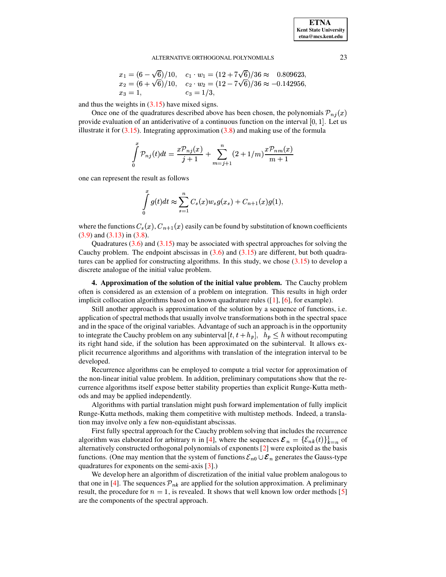### ALTERNATIVE ORTHOGONAL POLYNOMIALS 23

$$
x_1 = (6 - \sqrt{6})/10, \quad c_1 \cdot w_1 = (12 + 7\sqrt{6})/36 \approx 0.809623,
$$
  
\n
$$
x_2 = (6 + \sqrt{6})/10, \quad c_2 \cdot w_2 = (12 - 7\sqrt{6})/36 \approx -0.142956,
$$
  
\n
$$
x_3 = 1, \quad c_3 = 1/3,
$$

and thus the weights in  $(3.15)$  have mixed signs.

Once one of the quadratures described above has been chosen, the polynomials  $\mathcal{P}_{nj}(x)$ provide evaluation of an antiderivative of a continuous function on the interval  $[0, 1]$ . Let us illustrate it for  $(3.15)$ . Integrating approximation  $(3.8)$  and making use of the formula

$$
\int_{0}^{x} \mathcal{P}_{nj}(t)dt = \frac{x\mathcal{P}_{nj}(x)}{j+1} + \sum_{m=j+1}^{n} (2+1/m)\frac{x\mathcal{P}_{nm}(x)}{m+1}
$$

one can represent the result as follows

$$
\int_{0}^{x} g(t)dt \approx \sum_{s=1}^{n} C_{s}(x)w_{s}g(x_{s}) + C_{n+1}(x)g(1),
$$

where the functions  $C_s(x)$ ,  $C_{n+1}(x)$  easily can be found by substitution of known coefficients [\(3.9\)](#page-4-5) and [\(3.13\)](#page-5-3) in [\(3.8\)](#page-4-4).

Quadratures  $(3.6)$  and  $(3.15)$  may be associated with spectral approaches for solving the Cauchy problem. The endpoint abscissas in  $(3.6)$  and  $(3.15)$  are different, but both quadratures can be applied for constructing algorithms. In this study, we chose  $(3.15)$  to develop a discrete analogue of the initial value problem.

**4. Approximation of the solution of the initial value problem.** The Cauchy problem often is considered as an extension of a problem on integration. This results in high order implicit collocation algorithms based on known quadrature rules ([\[1\]](#page-9-4), [\[6\]](#page-9-5), for example).

Still another approach is approximation of the solution by a sequence of functions, i.e. application of spectral methods that usually involve transformations both in the spectral space and in the space of the original variables. Advantage of such an approach is in the opportunity and in the space of the original variables. Advantage of such an approach is in the opportunity<br>to integrate the Cauchy problem on any subinterval  $[t, t + h_p]$ ,  $h_p \leq h$  without recomputing its right hand side, if the solution has been approximated on the subinterval. It allows explicit recurrence algorithms and algorithms with translation of the integration interval to be developed.

Recurrence algorithms can be employed to compute a trial vector for approximation of the non-linear initial value problem. In addition, preliminary computations show that the recurrence algorithms itself expose better stability properties than explicit Runge-Kutta methods and may be applied independently.

Algorithms with partial translation might push forward implementation of fully implicit Runge-Kutta methods, making them competitive with multistep methods. Indeed, a translation may involve only a few non-equidistant abscissas.

First fully spectral approach for the Cauchy problem solving that includes the recurrence rithm was elaborated for arbitrary *n* in [4], where the sequences  $\mathcal{E}_n = {\mathcal{E}_{nk}(t)}_{t=n}$  of algorithm was elaborated for arbitrary n in [\[4\]](#page-9-6), where the sequences  $\mathcal{E}_n = \{\mathcal{E}_{nk}(t)\}_{k=n}^1$  of alternatively constructed orthogonal polynomials of exponents [\[2\]](#page-9-1) were exploited as the basis functions. (One may mention that the system of functions  $\mathcal{E}_{n0} \cup \mathcal{E}_n$  generates the Gauss-type quadratures for exponents on the semi-axis [\[3\]](#page-9-7).)

We develop here an algorithm of discretization of the initial value problem analogous to that one in [\[4\]](#page-9-6). The sequences  $\mathcal{P}_{nk}$  are applied for the solution approximation. A preliminary result, the procedure for  $n = 1$ , is revealed. It shows that well known low order methods [\[5\]](#page-9-8) are the components of the spectral approach.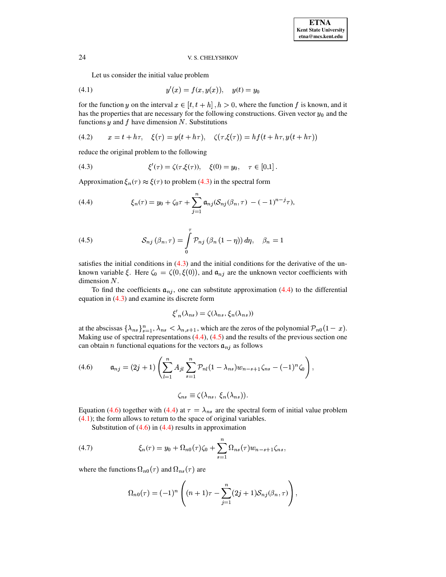### V. S. CHELYSHKOV

<span id="page-7-4"></span>Let us consider the initial value problem

(4.1) 
$$
y'(x) = f(x, y(x)), \quad y(t) = y_0
$$

for the function y on the interval  $x \in [t, t+h]$ ,  $h > 0$ , where the function f is known, and it has the properties that are necessary for the following constructions. Given vector  $y_0$  and the functions  $y$  and  $f$  have dimension  $N$ . Substitutions

<span id="page-7-6"></span>(4.2) 
$$
x = t + h\tau
$$
,  $\xi(\tau) = y(t + h\tau)$ ,  $\zeta(\tau, \xi(\tau)) = hf(t + h\tau, y(t + h\tau))$ 

reduce the original problem to the following

<span id="page-7-0"></span>(4.3) 
$$
\xi'(\tau) = \zeta(\tau, \xi(\tau)), \quad \xi(0) = y_0, \quad \tau \in [0,1].
$$

Approximation  $\xi_n(\tau) \approx \xi(\tau)$  to problem (4.3) in the spectral form

<span id="page-7-1"></span>(4.4) 
$$
\xi_n(\tau) = y_0 + \zeta_0 \tau + \sum_{j=1}^n \mathfrak{a}_{nj}(\mathcal{S}_{nj}(\beta_n, \tau) - (-1)^{n-j} \tau),
$$

<span id="page-7-2"></span>(4.5) 
$$
\mathcal{S}_{nj}(\beta_n, \tau) = \int\limits_0^{\tau} \mathcal{P}_{nj}(\beta_n (1 - \eta)) d\eta, \quad \beta_n = 1
$$

satisfies the initial conditions in  $(4.3)$  and the initial conditions for the derivative of the unknown variable  $\xi$ . Here  $\zeta_0 = \zeta(0, \xi(0))$ , and  $\mathfrak{a}_{nj}$  are the unknown vector coefficients with dimension  $N$ .

To find the coefficients  $a_{nj}$ , one can substitute approximation (4.4) to the differential equation in  $(4.3)$  and examine its discrete form

$$
\xi'_{n}(\lambda_{ns}) = \zeta(\lambda_{ns}, \xi_{n}(\lambda_{ns}))
$$

at the abscissas  $\{\lambda_{ns}\}_{s=1}^n$ ,  $\lambda_{ns} < \lambda_{n,s+1}$ , which are the zeros of the polynomial  $\mathcal{P}_{n0}(1-x)$ . Making use of spectral representations  $(4.4)$ ,  $(4.5)$  and the results of the previous section one can obtain *n* functional equations for the vectors  $a_{nj}$  as follows

<span id="page-7-3"></span>(4.6) 
$$
\mathfrak{a}_{nj} = (2j+1) \left( \sum_{l=1}^n A_{jl} \sum_{s=1}^n \mathcal{P}_{nl} (1 - \lambda_{ns}) w_{n-s+1} \zeta_{ns} - (-1)^n \zeta_0 \right),
$$

$$
\zeta_{ns} \equiv \zeta(\lambda_{ns},\ \xi_n(\lambda_{ns})).
$$

Equation (4.6) together with (4.4) at  $\tau = \lambda_{ns}$  are the spectral form of initial value problem  $(4.1)$ ; the form allows to return to the space of original variables.

Substitution of  $(4.6)$  in  $(4.4)$  results in approximation

<span id="page-7-5"></span>(4.7) 
$$
\xi_n(\tau) = y_0 + \Omega_{n0}(\tau)\zeta_0 + \sum_{s=1}^n \Omega_{ns}(\tau)w_{n-s+1}\zeta_{ns},
$$

where the functions  $\Omega_{n0}(\tau)$  and  $\Omega_{ns}(\tau)$  are

$$
\Omega_{n0}(\tau) = (-1)^n \left( (n+1)\tau - \sum_{j=1}^n (2j+1) S_{nj}(\beta_n, \tau) \right),
$$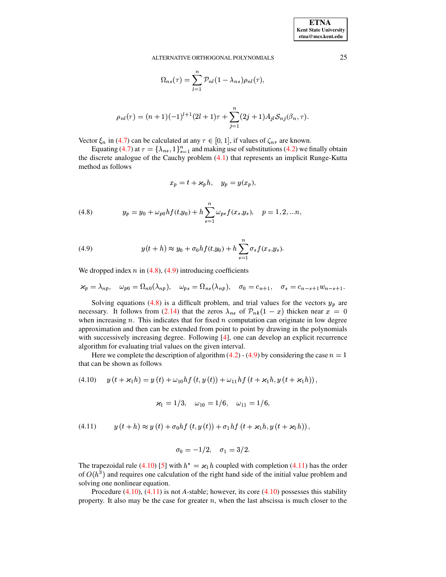#### ALTERNATIVE ORTHOGONAL POLYNOMIALS

$$
\Omega_{ns}(\tau) = \sum_{l=1}^{n} \mathcal{P}_{nl} (1 - \lambda_{ns}) \rho_{nl}(\tau),
$$

$$
\rho_{nl}(\tau) = (n+1)(-1)^{l+1}(2l+1)\tau + \sum_{j=1}^{n} (2j+1)A_{jl}S_{nj}(\beta_n, \tau).
$$

Vector  $\xi_n$  in (4.7) can be calculated at any  $\tau \in [0, 1]$ , if values of  $\zeta_{ns}$  are known.

Equating (4.7) at  $\tau = {\lambda_{ns}, 1}_{s=1}^n$  and making use of substitutions (4.2) we finally obtain the discrete analogue of the Cauchy problem  $(4.1)$  that represents an implicit Runge-Kutta method as follows

$$
x_p = t + \varkappa_p h, \quad y_p = y(x_p)
$$

<span id="page-8-0"></span>(4.8) 
$$
y_p = y_0 + \omega_{p0} h f(t, y_0) + h \sum_{s=1}^n \omega_{ps} f(x_s, y_s), \quad p = 1, 2, ... n,
$$

<span id="page-8-1"></span>(4.9) 
$$
y(t+h) \approx y_0 + \sigma_0 h f(t,y_0) + h \sum_{s=1}^n \sigma_s f(x_s, y_s).
$$

We dropped index  $n$  in (4.8), (4.9) introducing coefficients

$$
\kappa_p = \lambda_{np}, \quad \omega_{p0} = \Omega_{n0}(\lambda_{np}), \quad \omega_{ps} = \Omega_{ns}(\lambda_{np}), \quad \sigma_0 = c_{n+1}, \quad \sigma_s = c_{n-s+1}w_{n-s+1}.
$$

Solving equations (4.8) is a difficult problem, and trial values for the vectors  $y_p$  are necessary. It follows from (2.14) that the zeros  $\lambda_{ns}$  of  $\mathcal{P}_{nk}(1-x)$  thicken near  $x = 0$ when increasing  $n$ . This indicates that for fixed  $n$  computation can originate in low degree approximation and then can be extended from point to point by drawing in the polynomials with successively increasing degree. Following  $[4]$ , one can develop an explicit recurrence algorithm for evaluating trial values on the given interval.

Here we complete the description of algorithm (4.2) - (4.9) by considering the case  $n = 1$ that can be shown as follows

<span id="page-8-2"></span>
$$
(4.10) \t y(t + \varkappa_1 h) = y(t) + \omega_{10} h f(t, y(t)) + \omega_{11} h f(t + \varkappa_1 h, y(t + \varkappa_1 h)),
$$

$$
\varkappa_1 = 1/3, \quad \omega_{10} = 1/6, \quad \omega_{11} = 1/6,
$$

<span id="page-8-3"></span>(4.11) 
$$
y(t+h) \approx y(t) + \sigma_0 h f(t, y(t)) + \sigma_1 h f(t + \varkappa_1 h, y(t + \varkappa_1 h)),
$$

$$
\sigma_0=-1/2, \quad \sigma_1=3/2.
$$

The trapezoidal rule (4.10) [5] with  $h^* = \varkappa_1 h$  coupled with completion (4.11) has the order of  $O(h^3)$  and requires one calculation of the right hand side of the initial value problem and solving one nonlinear equation.

Procedure  $(4.10)$ ,  $(4.11)$  is not A-stable; however, its core  $(4.10)$  possesses this stability property. It also may be the case for greater  $n$ , when the last abscissa is much closer to the

25